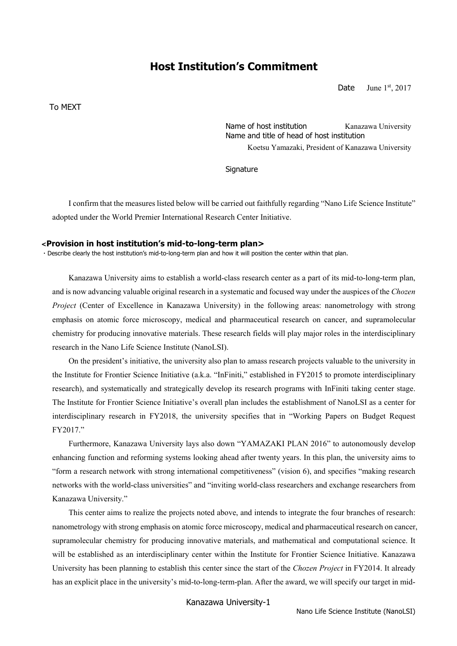# **Host Institution's Commitment**

Date June  $1^{st}$ , 2017

To MEXT

Name of host institution Kanazawa University Name and title of head of host institution Koetsu Yamazaki, President of Kanazawa University

**Signature** 

I confirm that the measures listed below will be carried out faithfully regarding "Nano Life Science Institute" adopted under the World Premier International Research Center Initiative.

#### **<Provision in host institution's mid-to-long-term plan>**

・Describe clearly the host institution's mid-to-long-term plan and how it will position the center within that plan.

Kanazawa University aims to establish a world-class research center as a part of its mid-to-long-term plan, and is now advancing valuable original research in a systematic and focused way under the auspices of the *Chozen Project* (Center of Excellence in Kanazawa University) in the following areas: nanometrology with strong emphasis on atomic force microscopy, medical and pharmaceutical research on cancer, and supramolecular chemistry for producing innovative materials. These research fields will play major roles in the interdisciplinary research in the Nano Life Science Institute (NanoLSI).

On the president's initiative, the university also plan to amass research projects valuable to the university in the Institute for Frontier Science Initiative (a.k.a. "InFiniti," established in FY2015 to promote interdisciplinary research), and systematically and strategically develop its research programs with InFiniti taking center stage. The Institute for Frontier Science Initiative's overall plan includes the establishment of NanoLSI as a center for interdisciplinary research in FY2018, the university specifies that in "Working Papers on Budget Request FY2017."

Furthermore, Kanazawa University lays also down "YAMAZAKI PLAN 2016" to autonomously develop enhancing function and reforming systems looking ahead after twenty years. In this plan, the university aims to "form a research network with strong international competitiveness" (vision 6), and specifies "making research networks with the world-class universities" and "inviting world-class researchers and exchange researchers from Kanazawa University."

This center aims to realize the projects noted above, and intends to integrate the four branches of research: nanometrology with strong emphasis on atomic force microscopy, medical and pharmaceutical research on cancer, supramolecular chemistry for producing innovative materials, and mathematical and computational science. It will be established as an interdisciplinary center within the Institute for Frontier Science Initiative. Kanazawa University has been planning to establish this center since the start of the *Chozen Project* in FY2014. It already has an explicit place in the university's mid-to-long-term-plan. After the award, we will specify our target in mid-

Kanazawa University-1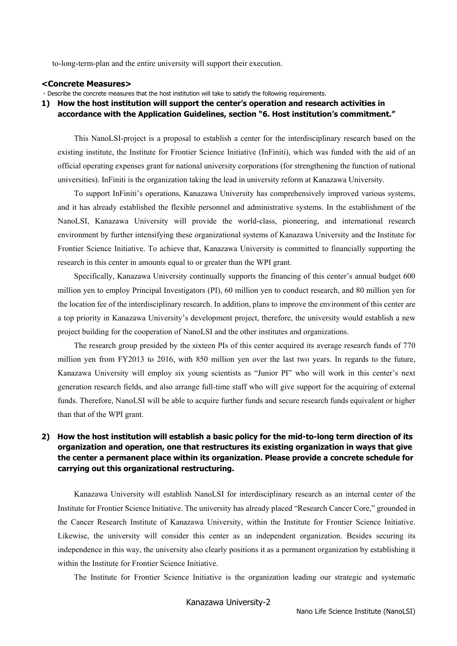to-long-term-plan and the entire university will support their execution.

#### **<Concrete Measures>**

・Describe the concrete measures that the host institution will take to satisfy the following requirements.

#### **1) How the host institution will support the center's operation and research activities in accordance with the Application Guidelines, section "6. Host institution's commitment."**

This NanoLSI-project is a proposal to establish a center for the interdisciplinary research based on the existing institute, the Institute for Frontier Science Initiative (InFiniti), which was funded with the aid of an official operating expenses grant for national university corporations (for strengthening the function of national universities). InFiniti is the organization taking the lead in university reform at Kanazawa University.

To support InFiniti's operations, Kanazawa University has comprehensively improved various systems, and it has already established the flexible personnel and administrative systems. In the establishment of the NanoLSI, Kanazawa University will provide the world-class, pioneering, and international research environment by further intensifying these organizational systems of Kanazawa University and the Institute for Frontier Science Initiative. To achieve that, Kanazawa University is committed to financially supporting the research in this center in amounts equal to or greater than the WPI grant.

Specifically, Kanazawa University continually supports the financing of this center's annual budget 600 million yen to employ Principal Investigators (PI), 60 million yen to conduct research, and 80 million yen for the location fee of the interdisciplinary research. In addition, plans to improve the environment of this center are a top priority in Kanazawa University's development project, therefore, the university would establish a new project building for the cooperation of NanoLSI and the other institutes and organizations.

The research group presided by the sixteen PIs of this center acquired its average research funds of 770 million yen from FY2013 to 2016, with 850 million yen over the last two years. In regards to the future, Kanazawa University will employ six young scientists as "Junior PI" who will work in this center's next generation research fields, and also arrange full-time staff who will give support for the acquiring of external funds. Therefore, NanoLSI will be able to acquire further funds and secure research funds equivalent or higher than that of the WPI grant.

### **2) How the host institution will establish a basic policy for the mid-to-long term direction of its organization and operation, one that restructures its existing organization in ways that give the center a permanent place within its organization. Please provide a concrete schedule for carrying out this organizational restructuring.**

Kanazawa University will establish NanoLSI for interdisciplinary research as an internal center of the Institute for Frontier Science Initiative. The university has already placed "Research Cancer Core," grounded in the Cancer Research Institute of Kanazawa University, within the Institute for Frontier Science Initiative. Likewise, the university will consider this center as an independent organization. Besides securing its independence in this way, the university also clearly positions it as a permanent organization by establishing it within the Institute for Frontier Science Initiative.

The Institute for Frontier Science Initiative is the organization leading our strategic and systematic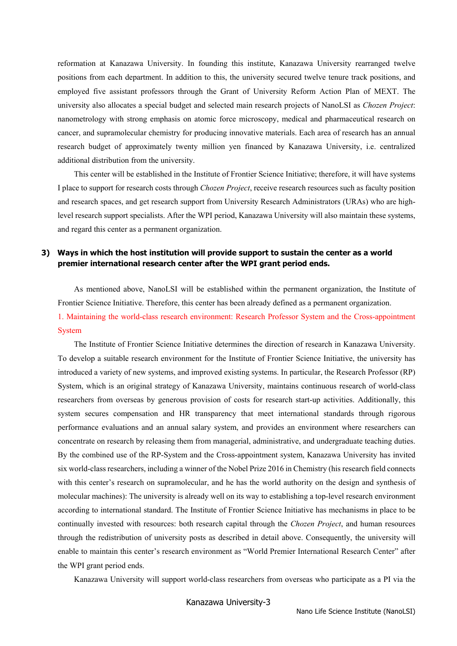reformation at Kanazawa University. In founding this institute, Kanazawa University rearranged twelve positions from each department. In addition to this, the university secured twelve tenure track positions, and employed five assistant professors through the Grant of University Reform Action Plan of MEXT. The university also allocates a special budget and selected main research projects of NanoLSI as *Chozen Project*: nanometrology with strong emphasis on atomic force microscopy, medical and pharmaceutical research on cancer, and supramolecular chemistry for producing innovative materials. Each area of research has an annual research budget of approximately twenty million yen financed by Kanazawa University, i.e. centralized additional distribution from the university.

This center will be established in the Institute of Frontier Science Initiative; therefore, it will have systems I place to support for research costs through *Chozen Project*, receive research resources such as faculty position and research spaces, and get research support from University Research Administrators (URAs) who are highlevel research support specialists. After the WPI period, Kanazawa University will also maintain these systems, and regard this center as a permanent organization.

#### **3) Ways in which the host institution will provide support to sustain the center as a world premier international research center after the WPI grant period ends.**

As mentioned above, NanoLSI will be established within the permanent organization, the Institute of Frontier Science Initiative. Therefore, this center has been already defined as a permanent organization. 1. Maintaining the world-class research environment: Research Professor System and the Cross-appointment System

The Institute of Frontier Science Initiative determines the direction of research in Kanazawa University. To develop a suitable research environment for the Institute of Frontier Science Initiative, the university has introduced a variety of new systems, and improved existing systems. In particular, the Research Professor (RP) System, which is an original strategy of Kanazawa University, maintains continuous research of world-class researchers from overseas by generous provision of costs for research start-up activities. Additionally, this system secures compensation and HR transparency that meet international standards through rigorous performance evaluations and an annual salary system, and provides an environment where researchers can concentrate on research by releasing them from managerial, administrative, and undergraduate teaching duties. By the combined use of the RP-System and the Cross-appointment system, Kanazawa University has invited six world-class researchers, including a winner of the Nobel Prize 2016 in Chemistry (his research field connects with this center's research on supramolecular, and he has the world authority on the design and synthesis of molecular machines): The university is already well on its way to establishing a top-level research environment according to international standard. The Institute of Frontier Science Initiative has mechanisms in place to be continually invested with resources: both research capital through the *Chozen Project*, and human resources through the redistribution of university posts as described in detail above. Consequently, the university will enable to maintain this center's research environment as "World Premier International Research Center" after the WPI grant period ends.

Kanazawa University will support world-class researchers from overseas who participate as a PI via the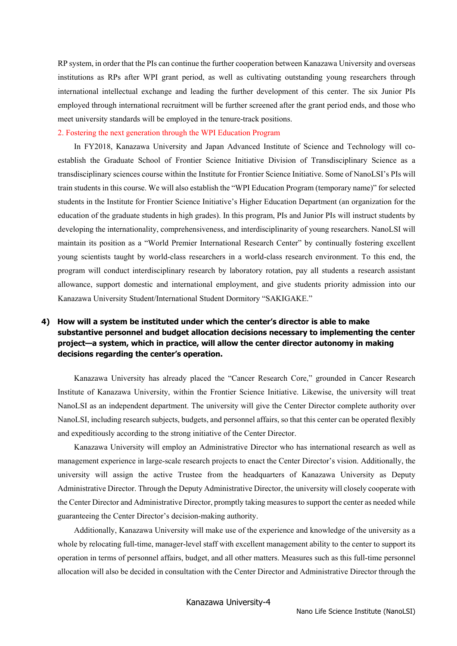RP system, in order that the PIs can continue the further cooperation between Kanazawa University and overseas institutions as RPs after WPI grant period, as well as cultivating outstanding young researchers through international intellectual exchange and leading the further development of this center. The six Junior PIs employed through international recruitment will be further screened after the grant period ends, and those who meet university standards will be employed in the tenure-track positions.

#### 2. Fostering the next generation through the WPI Education Program

In FY2018, Kanazawa University and Japan Advanced Institute of Science and Technology will coestablish the Graduate School of Frontier Science Initiative Division of Transdisciplinary Science as a transdisciplinary sciences course within the Institute for Frontier Science Initiative. Some of NanoLSI's PIs will train students in this course. We will also establish the "WPI Education Program (temporary name)" for selected students in the Institute for Frontier Science Initiative's Higher Education Department (an organization for the education of the graduate students in high grades). In this program, PIs and Junior PIs will instruct students by developing the internationality, comprehensiveness, and interdisciplinarity of young researchers. NanoLSI will maintain its position as a "World Premier International Research Center" by continually fostering excellent young scientists taught by world-class researchers in a world-class research environment. To this end, the program will conduct interdisciplinary research by laboratory rotation, pay all students a research assistant allowance, support domestic and international employment, and give students priority admission into our Kanazawa University Student/International Student Dormitory "SAKIGAKE."

## **4) How will a system be instituted under which the center's director is able to make substantive personnel and budget allocation decisions necessary to implementing the center project—a system, which in practice, will allow the center director autonomy in making decisions regarding the center's operation.**

Kanazawa University has already placed the "Cancer Research Core," grounded in Cancer Research Institute of Kanazawa University, within the Frontier Science Initiative. Likewise, the university will treat NanoLSI as an independent department. The university will give the Center Director complete authority over NanoLSI, including research subjects, budgets, and personnel affairs, so that this center can be operated flexibly and expeditiously according to the strong initiative of the Center Director.

Kanazawa University will employ an Administrative Director who has international research as well as management experience in large-scale research projects to enact the Center Director's vision. Additionally, the university will assign the active Trustee from the headquarters of Kanazawa University as Deputy Administrative Director. Through the Deputy Administrative Director, the university will closely cooperate with the Center Director and Administrative Director, promptly taking measures to support the center as needed while guaranteeing the Center Director's decision-making authority.

Additionally, Kanazawa University will make use of the experience and knowledge of the university as a whole by relocating full-time, manager-level staff with excellent management ability to the center to support its operation in terms of personnel affairs, budget, and all other matters. Measures such as this full-time personnel allocation will also be decided in consultation with the Center Director and Administrative Director through the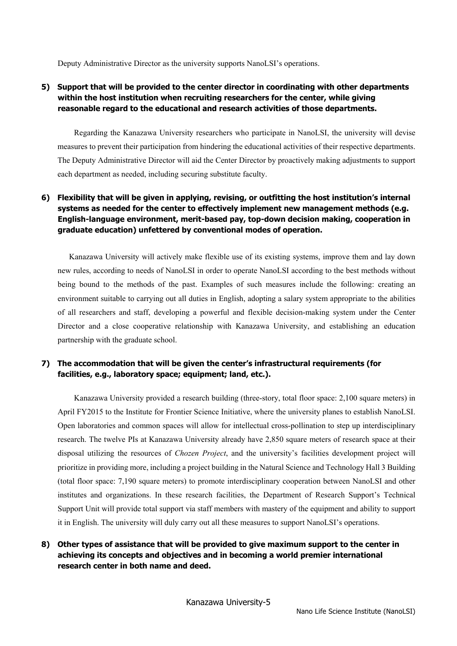Deputy Administrative Director as the university supports NanoLSI's operations.

### **5) Support that will be provided to the center director in coordinating with other departments within the host institution when recruiting researchers for the center, while giving reasonable regard to the educational and research activities of those departments.**

Regarding the Kanazawa University researchers who participate in NanoLSI, the university will devise measures to prevent their participation from hindering the educational activities of their respective departments. The Deputy Administrative Director will aid the Center Director by proactively making adjustments to support each department as needed, including securing substitute faculty.

### **6) Flexibility that will be given in applying, revising, or outfitting the host institution's internal systems as needed for the center to effectively implement new management methods (e.g. English-language environment, merit-based pay, top-down decision making, cooperation in graduate education) unfettered by conventional modes of operation.**

Kanazawa University will actively make flexible use of its existing systems, improve them and lay down new rules, according to needs of NanoLSI in order to operate NanoLSI according to the best methods without being bound to the methods of the past. Examples of such measures include the following: creating an environment suitable to carrying out all duties in English, adopting a salary system appropriate to the abilities of all researchers and staff, developing a powerful and flexible decision-making system under the Center Director and a close cooperative relationship with Kanazawa University, and establishing an education partnership with the graduate school.

#### **7) The accommodation that will be given the center's infrastructural requirements (for facilities, e.g., laboratory space; equipment; land, etc.).**

Kanazawa University provided a research building (three-story, total floor space: 2,100 square meters) in April FY2015 to the Institute for Frontier Science Initiative, where the university planes to establish NanoLSI. Open laboratories and common spaces will allow for intellectual cross-pollination to step up interdisciplinary research. The twelve PIs at Kanazawa University already have 2,850 square meters of research space at their disposal utilizing the resources of *Chozen Project*, and the university's facilities development project will prioritize in providing more, including a project building in the Natural Science and Technology Hall 3 Building (total floor space: 7,190 square meters) to promote interdisciplinary cooperation between NanoLSI and other institutes and organizations. In these research facilities, the Department of Research Support's Technical Support Unit will provide total support via staff members with mastery of the equipment and ability to support it in English. The university will duly carry out all these measures to support NanoLSI's operations.

### **8) Other types of assistance that will be provided to give maximum support to the center in achieving its concepts and objectives and in becoming a world premier international research center in both name and deed.**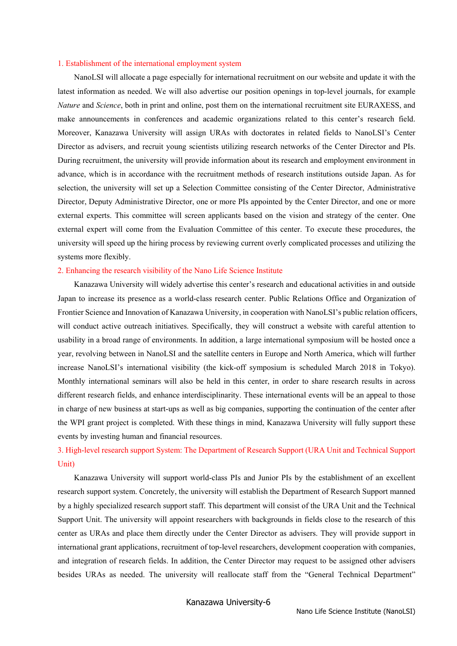#### 1. Establishment of the international employment system

NanoLSI will allocate a page especially for international recruitment on our website and update it with the latest information as needed. We will also advertise our position openings in top-level journals, for example *Nature* and *Science*, both in print and online, post them on the international recruitment site EURAXESS, and make announcements in conferences and academic organizations related to this center's research field. Moreover, Kanazawa University will assign URAs with doctorates in related fields to NanoLSI's Center Director as advisers, and recruit young scientists utilizing research networks of the Center Director and PIs. During recruitment, the university will provide information about its research and employment environment in advance, which is in accordance with the recruitment methods of research institutions outside Japan. As for selection, the university will set up a Selection Committee consisting of the Center Director, Administrative Director, Deputy Administrative Director, one or more PIs appointed by the Center Director, and one or more external experts. This committee will screen applicants based on the vision and strategy of the center. One external expert will come from the Evaluation Committee of this center. To execute these procedures, the university will speed up the hiring process by reviewing current overly complicated processes and utilizing the systems more flexibly.

#### 2. Enhancing the research visibility of the Nano Life Science Institute

Kanazawa University will widely advertise this center's research and educational activities in and outside Japan to increase its presence as a world-class research center. Public Relations Office and Organization of Frontier Science and Innovation of Kanazawa University, in cooperation with NanoLSI's public relation officers, will conduct active outreach initiatives. Specifically, they will construct a website with careful attention to usability in a broad range of environments. In addition, a large international symposium will be hosted once a year, revolving between in NanoLSI and the satellite centers in Europe and North America, which will further increase NanoLSI's international visibility (the kick-off symposium is scheduled March 2018 in Tokyo). Monthly international seminars will also be held in this center, in order to share research results in across different research fields, and enhance interdisciplinarity. These international events will be an appeal to those in charge of new business at start-ups as well as big companies, supporting the continuation of the center after the WPI grant project is completed. With these things in mind, Kanazawa University will fully support these events by investing human and financial resources.

## 3. High-level research support System: The Department of Research Support (URA Unit and Technical Support Unit)

Kanazawa University will support world-class PIs and Junior PIs by the establishment of an excellent research support system. Concretely, the university will establish the Department of Research Support manned by a highly specialized research support staff. This department will consist of the URA Unit and the Technical Support Unit. The university will appoint researchers with backgrounds in fields close to the research of this center as URAs and place them directly under the Center Director as advisers. They will provide support in international grant applications, recruitment of top-level researchers, development cooperation with companies, and integration of research fields. In addition, the Center Director may request to be assigned other advisers besides URAs as needed. The university will reallocate staff from the "General Technical Department"